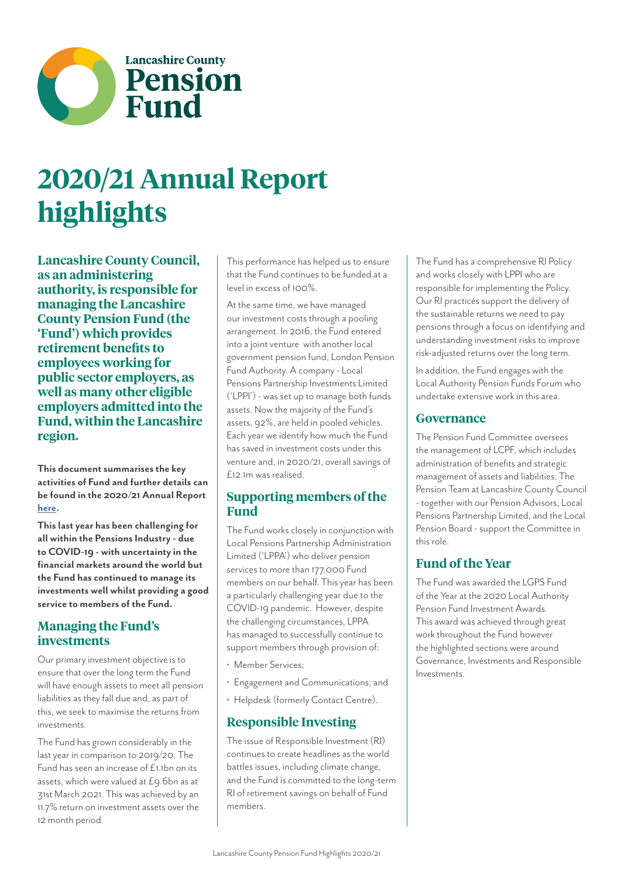

# **2020/21 Annual Report highlights**

**Lancashire County Council, as an administering authority, is responsible for managing the Lancashire County Pension Fund (the 'Fund') which provides retirement benefits to employees working for public sector employers, as well as many other eligible employers admitted into the Fund, within the Lancashire region.**

**This document summarises the key activities of Fund and further details can be found in the 2020/21 Annual Report [here](https://lancashirecountypensionfund.org.uk/media/1100/pension-fund-annual-report-2020-2021.pdf).**

**This last year has been challenging for all within the Pensions Industry - due to COVID-19 - with uncertainty in the financial markets around the world but the Fund has continued to manage its investments well whilst providing a good service to members of the Fund.**

### **Managing the Fund's investments**

Our primary investment objective is to ensure that over the long term the Fund will have enough assets to meet all pension liabilities as they fall due and, as part of this, we seek to maximise the returns from investments.

The Fund has grown considerably in the last year in comparison to 2019/20. The Fund has seen an increase of £1.1bn on its assets, which were valued at £9.6bn as at 31st March 2021. This was achieved by an 11.7% return on investment assets over the 12 month period.

This performance has helped us to ensure that the Fund continues to be funded at a level in excess of 100%.

At the same time, we have managed our investment costs through a pooling arrangement. In 2016, the Fund entered into a joint venture with another local government pension fund, London Pension Fund Authority. A company - Local Pensions Partnership Investments Limited ('LPPI') - was set up to manage both funds assets. Now the majority of the Fund's assets, 92%, are held in pooled vehicles. Each year we identify how much the Fund has saved in investment costs under this venture and, in 2020/21, overall savings of £12.1m was realised.

### **Supporting members of the Fund**

The Fund works closely in conjunction with Local Pensions Partnership Administration Limited ('LPPA') who deliver pension services to more than 177,000 Fund members on our behalf. This year has been a particularly challenging year due to the COVID-19 pandemic. However, despite the challenging circumstances, LPPA has managed to successfully continue to support members through provision of:

- Member Services;
- Engagement and Communications; and
- Helpdesk (formerly Contact Centre).

### **Responsible Investing**

The issue of Responsible Investment (RI) continues to create headlines as the world battles issues, including climate change, and the Fund is committed to the long-term RI of retirement savings on behalf of Fund members.

The Fund has a comprehensive RI Policy and works closely with LPPI who are responsible for implementing the Policy. Our RI practices support the delivery of the sustainable returns we need to pay pensions through a focus on identifying and understanding investment risks to improve risk-adjusted returns over the long term.

In addition, the Fund engages with the Local Authority Pension Funds Forum who undertake extensive work in this area.

### **Governance**

The Pension Fund Committee oversees the management of LCPF, which includes administration of benefits and strategic management of assets and liabilities. The Pension Team at Lancashire County Council - together with our Pension Advisors, Local Pensions Partnership Limited, and the Local Pension Board - support the Committee in this role.

### **Fund of the Year**

The Fund was awarded the LGPS Fund of the Year at the 2020 Local Authority Pension Fund Investment Awards. This award was achieved through great work throughout the Fund however the highlighted sections were around Governance, Investments and Responsible Investments.